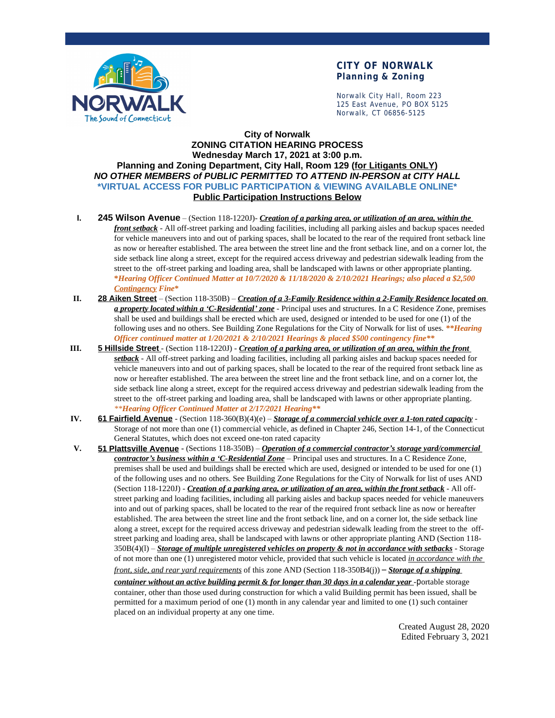

### **CITY OF NORWALK Planning & Zoning**

Norwalk City Hall, Room 223 125 East Avenue, PO BOX 5125 Norwalk, CT 06856-5125

#### **City of Norwalk ZONING CITATION HEARING PROCESS Wednesday March 17, 2021 at 3:00 p.m. Planning and Zoning Department, City Hall, Room 129 (for Litigants ONLY)** *NO OTHER MEMBERS of PUBLIC PERMITTED TO ATTEND IN-PERSON at CITY HALL* **\*VIRTUAL ACCESS FOR PUBLIC PARTICIPATION & VIEWING AVAILABLE ONLINE\* Public Participation Instructions Below**

- **I. 245 Wilson Avenue** (Section 118-1220J)- *Creation of a parking area, or utilization of an area, within the front setback* - All off-street parking and loading facilities, including all parking aisles and backup spaces needed for vehicle maneuvers into and out of parking spaces, shall be located to the rear of the required front setback line as now or hereafter established. The area between the street line and the front setback line, and on a corner lot, the side setback line along a street, except for the required access driveway and pedestrian sidewalk leading from the street to the off-street parking and loading area, shall be landscaped with lawns or other appropriate planting. **\****Hearing Officer Continued Matter at 10/7/2020 & 11/18/2020 & 2/10/2021 Hearings; also placed a \$2,500 Contingency Fine***\***
- **II. 28 Aiken Street** (Section 118-350B) *Creation of a 3-Family Residence within a 2-Family Residence located on a property located within a 'C-Residential' zone* - Principal uses and structures. In a C Residence Zone, premises shall be used and buildings shall be erected which are used, designed or intended to be used for one (1) of the following uses and no others. See Building Zone Regulations for the City of Norwalk for list of uses. *\*\*Hearing Officer continued matter at 1/20/2021 & 2/10/2021 Hearings & placed \$500 contingency fine\*\**
- **III. 5 Hillside Street** (Section 118-1220J) *Creation of a parking area, or utilization of an area, within the front setback* - All off-street parking and loading facilities, including all parking aisles and backup spaces needed for vehicle maneuvers into and out of parking spaces, shall be located to the rear of the required front setback line as now or hereafter established. The area between the street line and the front setback line, and on a corner lot, the side setback line along a street, except for the required access driveway and pedestrian sidewalk leading from the street to the off-street parking and loading area, shall be landscaped with lawns or other appropriate planting. *\*\*Hearing Officer Continued Matter at 2/17/2021 Hearing\*\**
- **IV. 61 Fairfield Avenue** (Section 118-360(B)(4)(e) *Storage of a commercial vehicle over a 1-ton rated capacity* Storage of not more than one (1) commercial vehicle, as defined in Chapter 246, Section 14-1, of the Connecticut General Statutes, which does not exceed one-ton rated capacity
- **V. 51 Plattsville Avenue** (Sections 118-350B) *Operation of a commercial contractor's storage yard/commercial contractor's business within a 'C-Residential Zone* – Principal uses and structures. In a C Residence Zone, premises shall be used and buildings shall be erected which are used, designed or intended to be used for one (1) of the following uses and no others. See Building Zone Regulations for the City of Norwalk for list of uses AND (Section 118-1220J) - *Creation of a parking area, or utilization of an area, within the front setback* - All offstreet parking and loading facilities, including all parking aisles and backup spaces needed for vehicle maneuvers into and out of parking spaces, shall be located to the rear of the required front setback line as now or hereafter established. The area between the street line and the front setback line, and on a corner lot, the side setback line along a street, except for the required access driveway and pedestrian sidewalk leading from the street to the offstreet parking and loading area, shall be landscaped with lawns or other appropriate planting AND (Section 118- 350B(4)(l) – *Storage of multiple unregistered vehicles on property & not in accordance with setbacks* - Storage of not more than one (1) unregistered motor vehicle, provided that such vehicle is located *in accordance with the front, side, and rear yard requirements* of this zone AND (Section 118-350B4(j)) – *Storage of a shipping*

*container without an active building permit & for longer than 30 days in a calendar year* -portable storage container, other than those used during construction for which a valid Building permit has been issued, shall be permitted for a maximum period of one (1) month in any calendar year and limited to one (1) such container placed on an individual property at any one time.

> Created August 28, 2020 Edited February 3, 2021